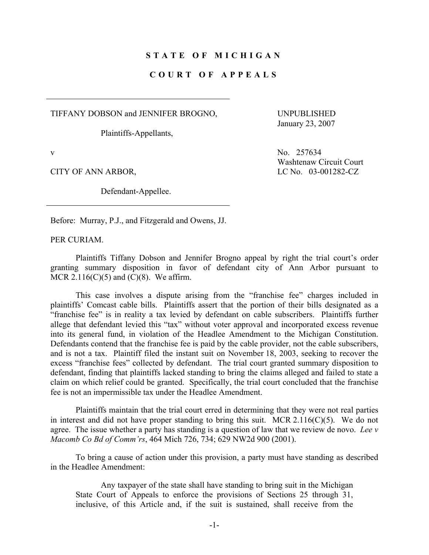## **STATE OF MICHIGAN**

## **COURT OF APPEALS**

TIFFANY DOBSON and JENNIFER BROGNO,

Plaintiffs-Appellants,

 UNPUBLISHED January 23, 2007

Defendant-Appellee.

v No. 257634 Washtenaw Circuit Court CITY OF ANN ARBOR, LC No. 03-001282-CZ

Before: Murray, P.J., and Fitzgerald and Owens, JJ.

PER CURIAM.

 Plaintiffs Tiffany Dobson and Jennifer Brogno appeal by right the trial court's order granting summary disposition in favor of defendant city of Ann Arbor pursuant to MCR  $2.116(C)(5)$  and  $(C)(8)$ . We affirm.

 This case involves a dispute arising from the "franchise fee" charges included in plaintiffs' Comcast cable bills. Plaintiffs assert that the portion of their bills designated as a "franchise fee" is in reality a tax levied by defendant on cable subscribers. Plaintiffs further allege that defendant levied this "tax" without voter approval and incorporated excess revenue into its general fund, in violation of the Headlee Amendment to the Michigan Constitution. Defendants contend that the franchise fee is paid by the cable provider, not the cable subscribers, and is not a tax. Plaintiff filed the instant suit on November 18, 2003, seeking to recover the excess "franchise fees" collected by defendant. The trial court granted summary disposition to defendant, finding that plaintiffs lacked standing to bring the claims alleged and failed to state a claim on which relief could be granted. Specifically, the trial court concluded that the franchise fee is not an impermissible tax under the Headlee Amendment.

 Plaintiffs maintain that the trial court erred in determining that they were not real parties in interest and did not have proper standing to bring this suit. MCR  $2.116(C)(5)$ . We do not agree. The issue whether a party has standing is a question of law that we review de novo. *Lee v Macomb Co Bd of Comm'rs*, 464 Mich 726, 734; 629 NW2d 900 (2001).

 To bring a cause of action under this provision, a party must have standing as described in the Headlee Amendment:

 Any taxpayer of the state shall have standing to bring suit in the Michigan State Court of Appeals to enforce the provisions of Sections 25 through 31, inclusive, of this Article and, if the suit is sustained, shall receive from the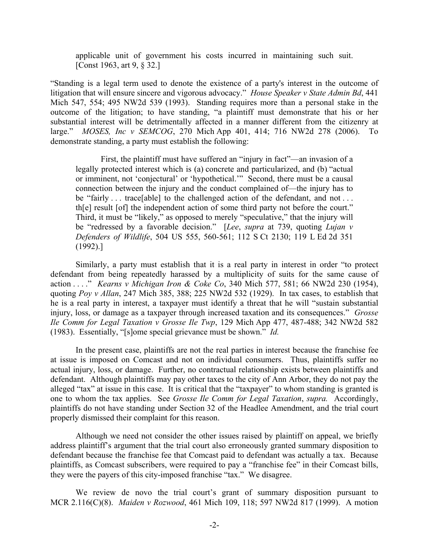applicable unit of government his costs incurred in maintaining such suit. [Const 1963, art 9, § 32.]

"Standing is a legal term used to denote the existence of a party's interest in the outcome of litigation that will ensure sincere and vigorous advocacy." *House Speaker v State Admin Bd*, 441 Mich 547, 554; 495 NW2d 539 (1993). Standing requires more than a personal stake in the outcome of the litigation; to have standing, "a plaintiff must demonstrate that his or her substantial interest will be detrimentally affected in a manner different from the citizenry at large." *MOSES, Inc v SEMCOG*, 270 Mich App 401, 414; 716 NW2d 278 (2006). To demonstrate standing, a party must establish the following:

 First, the plaintiff must have suffered an "injury in fact"—an invasion of a legally protected interest which is (a) concrete and particularized, and (b) "actual or imminent, not 'conjectural' or 'hypothetical.'" Second, there must be a causal connection between the injury and the conduct complained of—the injury has to be "fairly ... trace [able] to the challenged action of the defendant, and not ... th[e] result [of] the independent action of some third party not before the court." Third, it must be "likely," as opposed to merely "speculative," that the injury will be "redressed by a favorable decision." [*Lee*, *supra* at 739, quoting *Lujan v Defenders of Wildlife*, 504 US 555, 560-561; 112 S Ct 2130; 119 L Ed 2d 351 (1992).]

 Similarly, a party must establish that it is a real party in interest in order "to protect defendant from being repeatedly harassed by a multiplicity of suits for the same cause of action . . . ." *Kearns v Michigan Iron & Coke Co*, 340 Mich 577, 581; 66 NW2d 230 (1954), quoting *Poy v Allan*, 247 Mich 385, 388; 225 NW2d 532 (1929). In tax cases, to establish that he is a real party in interest, a taxpayer must identify a threat that he will "sustain substantial injury, loss, or damage as a taxpayer through increased taxation and its consequences." *Grosse Ile Comm for Legal Taxation v Grosse Ile Twp*, 129 Mich App 477, 487-488; 342 NW2d 582 (1983). Essentially, "[s]ome special grievance must be shown." *Id.*

 In the present case, plaintiffs are not the real parties in interest because the franchise fee at issue is imposed on Comcast and not on individual consumers. Thus, plaintiffs suffer no actual injury, loss, or damage. Further, no contractual relationship exists between plaintiffs and defendant. Although plaintiffs may pay other taxes to the city of Ann Arbor, they do not pay the alleged "tax" at issue in this case. It is critical that the "taxpayer" to whom standing is granted is one to whom the tax applies. See *Grosse Ile Comm for Legal Taxation*, *supra.* Accordingly, plaintiffs do not have standing under Section 32 of the Headlee Amendment, and the trial court properly dismissed their complaint for this reason.

 Although we need not consider the other issues raised by plaintiff on appeal, we briefly address plaintiff's argument that the trial court also erroneously granted summary disposition to defendant because the franchise fee that Comcast paid to defendant was actually a tax. Because plaintiffs, as Comcast subscribers, were required to pay a "franchise fee" in their Comcast bills, they were the payers of this city-imposed franchise "tax." We disagree.

 We review de novo the trial court's grant of summary disposition pursuant to MCR 2.116(C)(8). *Maiden v Rozwood*, 461 Mich 109, 118; 597 NW2d 817 (1999). A motion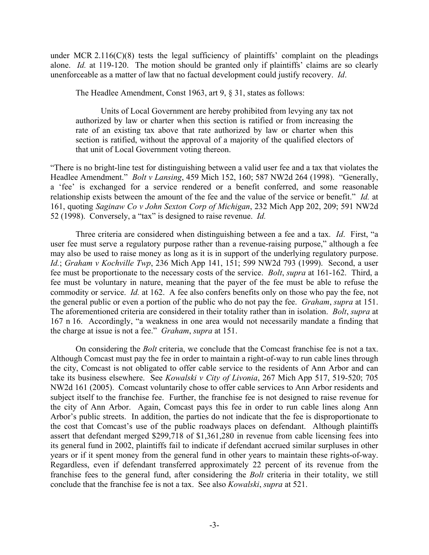under MCR 2.116( $C(8)$ ) tests the legal sufficiency of plaintiffs' complaint on the pleadings alone. *Id.* at 119-120. The motion should be granted only if plaintiffs' claims are so clearly unenforceable as a matter of law that no factual development could justify recovery. *Id*.

The Headlee Amendment, Const 1963, art 9, § 31, states as follows:

 Units of Local Government are hereby prohibited from levying any tax not authorized by law or charter when this section is ratified or from increasing the rate of an existing tax above that rate authorized by law or charter when this section is ratified, without the approval of a majority of the qualified electors of that unit of Local Government voting thereon.

"There is no bright-line test for distinguishing between a valid user fee and a tax that violates the Headlee Amendment." *Bolt v Lansing*, 459 Mich 152, 160; 587 NW2d 264 (1998). "Generally, a 'fee' is exchanged for a service rendered or a benefit conferred, and some reasonable relationship exists between the amount of the fee and the value of the service or benefit." *Id.* at 161, quoting *Saginaw Co v John Sexton Corp of Michigan*, 232 Mich App 202, 209; 591 NW2d 52 (1998). Conversely, a "tax" is designed to raise revenue. *Id.*

 Three criteria are considered when distinguishing between a fee and a tax. *Id*. First, "a user fee must serve a regulatory purpose rather than a revenue-raising purpose," although a fee may also be used to raise money as long as it is in support of the underlying regulatory purpose. *Id.*; *Graham v Kochville Twp*, 236 Mich App 141, 151; 599 NW2d 793 (1999). Second, a user fee must be proportionate to the necessary costs of the service. *Bolt*, *supra* at 161-162. Third, a fee must be voluntary in nature, meaning that the payer of the fee must be able to refuse the commodity or service. *Id.* at 162. A fee also confers benefits only on those who pay the fee, not the general public or even a portion of the public who do not pay the fee. *Graham*, *supra* at 151. The aforementioned criteria are considered in their totality rather than in isolation. *Bolt*, *supra* at 167 n 16. Accordingly, "a weakness in one area would not necessarily mandate a finding that the charge at issue is not a fee." *Graham*, *supra* at 151.

 On considering the *Bolt* criteria, we conclude that the Comcast franchise fee is not a tax. Although Comcast must pay the fee in order to maintain a right-of-way to run cable lines through the city, Comcast is not obligated to offer cable service to the residents of Ann Arbor and can take its business elsewhere. See *Kowalski v City of Livonia*, 267 Mich App 517, 519-520; 705 NW2d 161 (2005). Comcast voluntarily chose to offer cable services to Ann Arbor residents and subject itself to the franchise fee. Further, the franchise fee is not designed to raise revenue for the city of Ann Arbor. Again, Comcast pays this fee in order to run cable lines along Ann Arbor's public streets. In addition, the parties do not indicate that the fee is disproportionate to the cost that Comcast's use of the public roadways places on defendant. Although plaintiffs assert that defendant merged \$299,718 of \$1,361,280 in revenue from cable licensing fees into its general fund in 2002, plaintiffs fail to indicate if defendant accrued similar surpluses in other years or if it spent money from the general fund in other years to maintain these rights-of-way. Regardless, even if defendant transferred approximately 22 percent of its revenue from the franchise fees to the general fund, after considering the *Bolt* criteria in their totality, we still conclude that the franchise fee is not a tax. See also *Kowalski*, *supra* at 521.